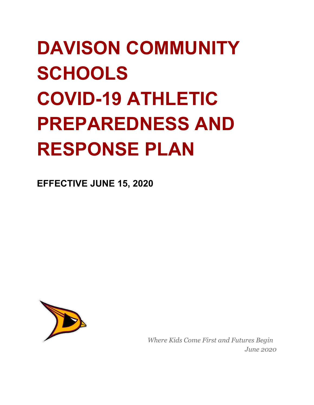# **DAVISON COMMUNITY SCHOOLS COVID-19 ATHLETIC PREPAREDNESS AND RESPONSE PLAN**

**EFFECTIVE JUNE 15, 2020**



*Where Kids Come First and Futures Begin June 2020*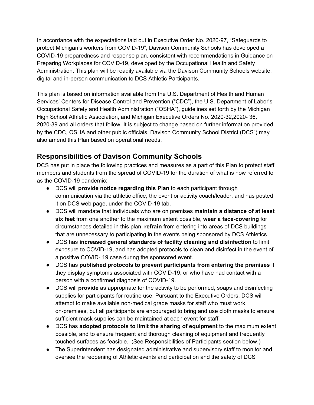In accordance with the expectations laid out in Executive Order No. 2020-97, "Safeguards to protect Michigan's workers from COVID-19", Davison Community Schools has developed a COVID-19 preparedness and response plan, consistent with recommendations in Guidance on Preparing Workplaces for COVID-19, developed by the Occupational Health and Safety Administration. This plan will be readily available via the Davison Community Schools website, digital and in-person communication to DCS Athletic Participants.

This plan is based on information available from the U.S. Department of Health and Human Services' Centers for Disease Control and Prevention ("CDC"), the U.S. Department of Labor's Occupational Safety and Health Administration ("OSHA"), guidelines set forth by the Michigan High School Athletic Association, and Michigan Executive Orders No. 2020-32,2020- 36, 2020-39 and all orders that follow. It is subject to change based on further information provided by the CDC, OSHA and other public officials. Davison Community School District (DCS") may also amend this Plan based on operational needs.

# **Responsibilities of Davison Community Schools**

DCS has put in place the following practices and measures as a part of this Plan to protect staff members and students from the spread of COVID-19 for the duration of what is now referred to as the COVID-19 pandemic:

- DCS will **provide notice regarding this Plan** to each participant through communication via the athletic office, the event or activity coach/leader, and has posted it on DCS web page, under the COVID-19 tab.
- DCS will mandate that individuals who are on premises **maintain a distance of at least six feet** from one another to the maximum extent possible, **wear a face-covering** for circumstances detailed in this plan, **refrain** from entering into areas of DCS buildings that are unnecessary to participating in the events being sponsored by DCS Athletics.
- DCS has **increased general standards of facility cleaning and disinfection** to limit exposure to COVID-19, and has adopted protocols to clean and disinfect in the event of a positive COVID- 19 case during the sponsored event.
- DCS has **published protocols to prevent participants from entering the premises** if they display symptoms associated with COVID-19, or who have had contact with a person with a confirmed diagnosis of COVID-19.
- DCS will **provide** as appropriate for the activity to be performed, soaps and disinfecting supplies for participants for routine use. Pursuant to the Executive Orders, DCS will attempt to make available non-medical grade masks for staff who must work on-premises, but all participants are encouraged to bring and use cloth masks to ensure sufficient mask supplies can be maintained at each event for staff.
- DCS has **adopted protocols to limit the sharing of equipment** to the maximum extent possible, and to ensure frequent and thorough cleaning of equipment and frequently touched surfaces as feasible. (See Responsibilities of Participants section below.)
- The Superintendent has designated administrative and supervisory staff to monitor and oversee the reopening of Athletic events and participation and the safety of DCS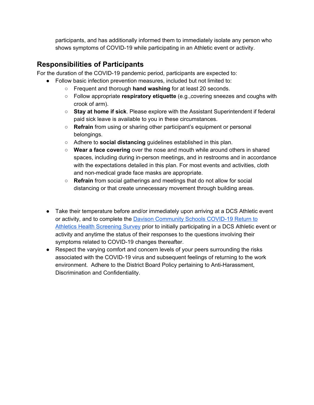participants, and has additionally informed them to immediately isolate any person who shows symptoms of COVID-19 while participating in an Athletic event or activity.

## **Responsibilities of Participants**

For the duration of the COVID-19 pandemic period, participants are expected to:

- Follow basic infection prevention measures, included but not limited to:
	- Frequent and thorough **hand washing** for at least 20 seconds.
	- Follow appropriate **respiratory etiquette** (e.g.,covering sneezes and coughs with crook of arm).
	- **Stay at home if sick**. Please explore with the Assistant Superintendent if federal paid sick leave is available to you in these circumstances.
	- **Refrain** from using or sharing other participant's equipment or personal belongings.
	- Adhere to **social distancing** guidelines established in this plan.
	- **Wear a face covering** over the nose and mouth while around others in shared spaces, including during in-person meetings, and in restrooms and in accordance with the expectations detailed in this plan. For most events and activities, cloth and non-medical grade face masks are appropriate.
	- **Refrain** from social gatherings and meetings that do not allow for social distancing or that create unnecessary movement through building areas.
- Take their temperature before and/or immediately upon arriving at a DCS Athletic event or activity, and to complete the **Davison [Community](https://docs.google.com/forms/d/e/1FAIpQLScVizuON7YPEl5DDY1JI-3ymXPEPADXAgtMv_LFwa0EhwW3Lw/viewform?usp=sf_link) Schools COVID-19 Return to** Athletics Health [Screening](https://docs.google.com/forms/d/e/1FAIpQLScVizuON7YPEl5DDY1JI-3ymXPEPADXAgtMv_LFwa0EhwW3Lw/viewform?usp=sf_link) Survey prior to initially participating in a DCS Athletic event or activity and anytime the status of their responses to the questions involving their symptoms related to COVID-19 changes thereafter.
- Respect the varying comfort and concern levels of your peers surrounding the risks associated with the COVID-19 virus and subsequent feelings of returning to the work environment. Adhere to the District Board Policy pertaining to Anti-Harassment, Discrimination and Confidentiality.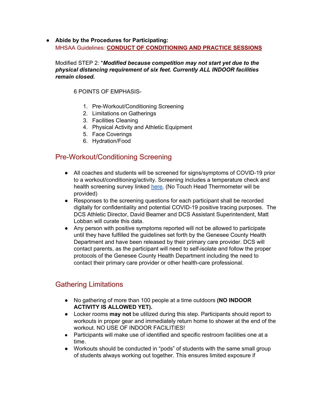**● Abide by the Procedures for Participating:** MHSAA Guidelines: **CONDUCT OF CONDITIONING AND PRACTICE SESSIONS**

Modified STEP 2: \**Modified because competition may not start yet due to the physical distancing requirement of six feet. Currently ALL INDOOR facilities remain closed.*

#### 6 POINTS OF EMPHASIS-

- 1. Pre-Workout/Conditioning Screening
- 2. Limitations on Gatherings
- 3. Facilities Cleaning
- 4. Physical Activity and Athletic Equipment
- 5. Face Coverings
- 6. Hydration/Food

#### Pre-Workout/Conditioning Screening

- All coaches and students will be screened for signs/symptoms of COVID-19 prior to a workout/conditioning/activity. Screening includes a temperature check and health screening survey linked [here.](https://docs.google.com/forms/d/e/1FAIpQLScVizuON7YPEl5DDY1JI-3ymXPEPADXAgtMv_LFwa0EhwW3Lw/viewform?usp=sf_link) (No Touch Head Thermometer will be provided)
- Responses to the screening questions for each participant shall be recorded digitally for confidentiality and potential COVID-19 positive tracing purposes. The DCS Athletic Director, David Beamer and DCS Assistant Superintendent, Matt Lobban will curate this data.
- Any person with positive symptoms reported will not be allowed to participate until they have fulfilled the guidelines set forth by the Genesee County Health Department and have been released by their primary care provider. DCS will contact parents, as the participant will need to self-isolate and follow the proper protocols of the Genesee County Health Department including the need to contact their primary care provider or other health-care professional.

### Gathering Limitations

- No gathering of more than 100 people at a time outdoors **(NO INDOOR ACTIVITY IS ALLOWED YET).**
- Locker rooms **may not** be utilized during this step. Participants should report to workouts in proper gear and immediately return home to shower at the end of the workout. NO USE OF INDOOR FACILITIES!
- Participants will make use of identified and specific restroom facilities one at a time.
- Workouts should be conducted in "pods" of students with the same small group of students always working out together. This ensures limited exposure if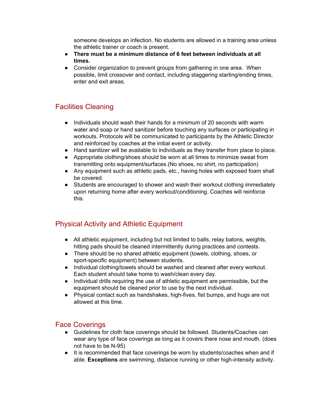someone develops an infection. No students are allowed in a training area unless the athletic trainer or coach is present.

- **● There must be a minimum distance of 6 feet between individuals at all times.**
- Consider organization to prevent groups from gathering in one area. When possible, limit crossover and contact, including staggering starting/ending times, enter and exit areas.

## Facilities Cleaning

- Individuals should wash their hands for a minimum of 20 seconds with warm water and soap or hand sanitizer before touching any surfaces or participating in workouts. Protocols will be communicated to participants by the Athletic Director and reinforced by coaches at the initial event or activity.
- Hand sanitizer will be available to individuals as they transfer from place to place.
- Appropriate clothing/shoes should be worn at all times to minimize sweat from transmitting onto equipment/surfaces.(No shoes, no shirt, no participation)
- Any equipment such as athletic pads, etc., having holes with exposed foam shall be covered.
- Students are encouraged to shower and wash their workout clothing immediately upon returning home after every workout/conditioning. Coaches will reinforce this.

### Physical Activity and Athletic Equipment

- *●* All athletic equipment, including but not limited to balls, relay batons, weights, hitting pads should be cleaned intermittently during practices and contests.
- There should be no shared athletic equipment (towels, clothing, shoes, or sport-specific equipment) between students.
- Individual clothing/towels should be washed and cleaned after every workout. Each student should take home to wash/clean every day.
- Individual drills requiring the use of athletic equipment are permissible, but the equipment should be cleaned prior to use by the next individual.
- Physical contact such as handshakes, high-fives, fist bumps, and hugs are not allowed at this time.

#### Face Coverings

- Guidelines for cloth face coverings should be followed. Students/Coaches can wear any type of face coverings as long as it covers there nose and mouth. (does not have to be N-95)
- It is recommended that face coverings be worn by students/coaches when and if able. **Exceptions** are swimming, distance running or other high-intensity activity.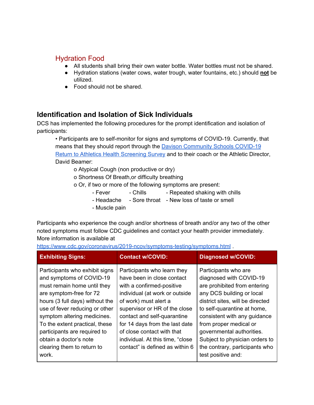#### Hydration Food

- All students shall bring their own water bottle. Water bottles must not be shared.
- Hydration stations (water cows, water trough, water fountains, etc.) should **not** be utilized.
- Food should not be shared.

### **Identification and Isolation of Sick Individuals**

DCS has implemented the following procedures for the prompt identification and isolation of participants:

• Participants are to self-monitor for signs and symptoms of COVID-19. Currently, that means that they should report through the Davison [Community](https://docs.google.com/forms/d/e/1FAIpQLScVizuON7YPEl5DDY1JI-3ymXPEPADXAgtMv_LFwa0EhwW3Lw/viewform?usp=sf_link) Schools COVID-19 Return to Athletics Health [Screening](https://docs.google.com/forms/d/e/1FAIpQLScVizuON7YPEl5DDY1JI-3ymXPEPADXAgtMv_LFwa0EhwW3Lw/viewform?usp=sf_link) Survey and to their coach or the Athletic Director, David Beamer:

o Atypical Cough (non productive or dry)

o Shortness Of Breath,or difficulty breathing

o Or, if two or more of the following symptoms are present:

- Fever Chills Repeated shaking with chills
- Headache Sore throat New loss of taste or smell
- Muscle pain

Participants who experience the cough and/or shortness of breath and/or any two of the other noted symptoms must follow CDC guidelines and contact your health provider immediately. More information is available at

<https://www.cdc.gov/coronavirus/2019-ncov/symptoms-testing/symptoms.html> .

| <b>Exhibiting Signs:</b>                                                                                                                                                                                                                                                                                                                                    | <b>Contact w/COVID:</b>                                                                                                                                                                                                                                                                                                                                  | <b>Diagnosed w/COVID:</b>                                                                                                                                                                                                                                                                                                                                        |
|-------------------------------------------------------------------------------------------------------------------------------------------------------------------------------------------------------------------------------------------------------------------------------------------------------------------------------------------------------------|----------------------------------------------------------------------------------------------------------------------------------------------------------------------------------------------------------------------------------------------------------------------------------------------------------------------------------------------------------|------------------------------------------------------------------------------------------------------------------------------------------------------------------------------------------------------------------------------------------------------------------------------------------------------------------------------------------------------------------|
| Participants who exhibit signs<br>and symptoms of COVID-19<br>must remain home until they<br>are symptom-free for 72<br>hours (3 full days) without the<br>use of fever reducing or other<br>symptom altering medicines.<br>To the extent practical, these<br>participants are required to<br>obtain a doctor's note<br>clearing them to return to<br>work. | Participants who learn they<br>have been in close contact<br>with a confirmed-positive<br>individual (at work or outside<br>of work) must alert a<br>supervisor or HR of the close<br>contact and self-quarantine<br>for 14 days from the last date<br>of close contact with that<br>individual. At this time, "close<br>contact" is defined as within 6 | Participants who are<br>diagnosed with COVID-19<br>are prohibited from entering<br>any DCS building or local<br>district sites, will be directed<br>to self-quarantine at home,<br>consistent with any guidance<br>from proper medical or<br>governmental authorities.<br>Subject to physician orders to<br>the contrary, participants who<br>test positive and: |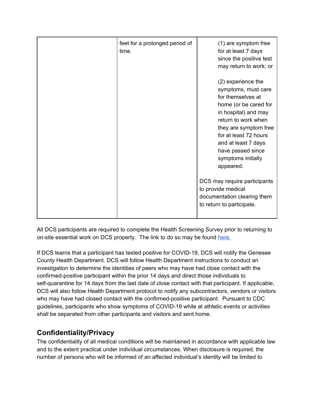| feet for a prolonged period of<br>time. | (1) are symptom free<br>for at least 7 days<br>since the positive test<br>may return to work; or                                                                                                                                                                                                                                                                                          |
|-----------------------------------------|-------------------------------------------------------------------------------------------------------------------------------------------------------------------------------------------------------------------------------------------------------------------------------------------------------------------------------------------------------------------------------------------|
|                                         | (2) experience the<br>symptoms, must care<br>for themselves at<br>home (or be cared for<br>in hospital) and may<br>return to work when<br>they are symptom free<br>for at least 72 hours<br>and at least 7 days<br>have passed since<br>symptoms initially<br>appeared.<br>DCS may require participants<br>to provide medical<br>documentation clearing them<br>to return to participate. |

All DCS participants are required to complete the Health Screening Survey prior to returning to on-site essential work on DCS property. The link to do so may be found [here.](https://docs.google.com/forms/d/e/1FAIpQLScVizuON7YPEl5DDY1JI-3ymXPEPADXAgtMv_LFwa0EhwW3Lw/viewform?usp=sf_link)

If DCS learns that a participant has tested positive for COVID-19, DCS will notify the Genesee County Health Department. DCS will follow Health Department instructions to conduct an investigation to determine the identities of peers who may have had close contact with the confirmed-positive participant within the prior 14 days and direct those individuals to self-quarantine for 14 days from the last date of close contact with that participant. If applicable, DCS will also follow Health Department protocol to notify any subcontractors, vendors or visitors who may have had closed contact with the confirmed-positive participant. Pursuant to CDC guidelines, participants who show symptoms of COVID-19 while at athletic events or activities shall be separated from other participants and visitors and sent home.

# **Confidentiality/Privacy**

The confidentiality of all medical conditions will be maintained in accordance with applicable law and to the extent practical under individual circumstances. When disclosure is required, the number of persons who will be informed of an affected individual's identity will be limited to